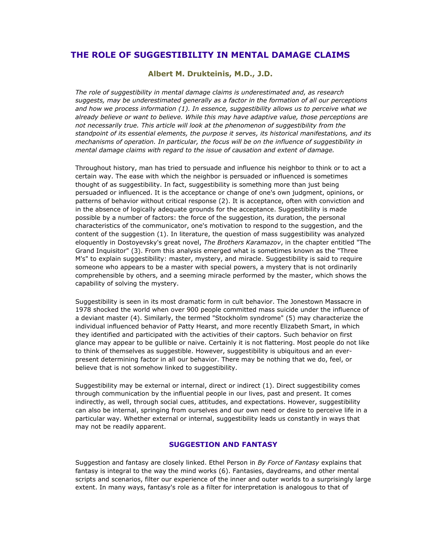# **THE ROLE OF SUGGESTIBILITY IN MENTAL DAMAGE CLAIMS**

**Albert M. Drukteinis, M.D., J.D.**

*The role of suggestibility in mental damage claims is underestimated and, as research suggests, may be underestimated generally as a factor in the formation of all our perceptions and how we process information (1). In essence, suggestibility allows us to perceive what we already believe or want to believe. While this may have adaptive value, those perceptions are not necessarily true. This article will look at the phenomenon of suggestibility from the standpoint of its essential elements, the purpose it serves, its historical manifestations, and its mechanisms of operation. In particular, the focus will be on the influence of suggestibility in mental damage claims with regard to the issue of causation and extent of damage.*

Throughout history, man has tried to persuade and influence his neighbor to think or to act a certain way. The ease with which the neighbor is persuaded or influenced is sometimes thought of as suggestibility. In fact, suggestibility is something more than just being persuaded or influenced. It is the acceptance or change of one's own judgment, opinions, or patterns of behavior without critical response (2). It is acceptance, often with conviction and in the absence of logically adequate grounds for the acceptance. Suggestibility is made possible by a number of factors: the force of the suggestion, its duration, the personal characteristics of the communicator, one's motivation to respond to the suggestion, and the content of the suggestion (1). In literature, the question of mass suggestibility was analyzed eloquently in Dostoyevsky's great novel, *The Brothers Karamazov*, in the chapter entitled "The Grand Inquisitor" (3). From this analysis emerged what is sometimes known as the "Three M's" to explain suggestibility: master, mystery, and miracle. Suggestibility is said to require someone who appears to be a master with special powers, a mystery that is not ordinarily comprehensible by others, and a seeming miracle performed by the master, which shows the capability of solving the mystery.

Suggestibility is seen in its most dramatic form in cult behavior. The Jonestown Massacre in 1978 shocked the world when over 900 people committed mass suicide under the influence of a deviant master (4). Similarly, the termed "Stockholm syndrome" (5) may characterize the individual influenced behavior of Patty Hearst, and more recently Elizabeth Smart, in which they identified and participated with the activities of their captors. Such behavior on first glance may appear to be gullible or naive. Certainly it is not flattering. Most people do not like to think of themselves as suggestible. However, suggestibility is ubiquitous and an everpresent determining factor in all our behavior. There may be nothing that we do, feel, or believe that is not somehow linked to suggestibility.

Suggestibility may be external or internal, direct or indirect (1). Direct suggestibility comes through communication by the influential people in our lives, past and present. It comes indirectly, as well, through social cues, attitudes, and expectations. However, suggestibility can also be internal, springing from ourselves and our own need or desire to perceive life in a particular way. Whether external or internal, suggestibility leads us constantly in ways that may not be readily apparent.

## **SUGGESTION AND FANTASY**

Suggestion and fantasy are closely linked. Ethel Person in *By Force of Fantasy* explains that fantasy is integral to the way the mind works (6). Fantasies, daydreams, and other mental scripts and scenarios, filter our experience of the inner and outer worlds to a surprisingly large extent. In many ways, fantasy's role as a filter for interpretation is analogous to that of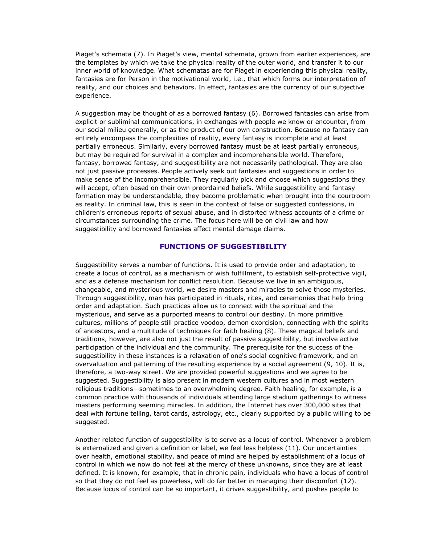Piaget's schemata (7). In Piaget's view, mental schemata, grown from earlier experiences, are the templates by which we take the physical reality of the outer world, and transfer it to our inner world of knowledge. What schematas are for Piaget in experiencing this physical reality, fantasies are for Person in the motivational world, i.e., that which forms our interpretation of reality, and our choices and behaviors. In effect, fantasies are the currency of our subjective experience.

A suggestion may be thought of as a borrowed fantasy (6). Borrowed fantasies can arise from explicit or subliminal communications, in exchanges with people we know or encounter, from our social milieu generally, or as the product of our own construction. Because no fantasy can entirely encompass the complexities of reality, every fantasy is incomplete and at least partially erroneous. Similarly, every borrowed fantasy must be at least partially erroneous, but may be required for survival in a complex and incomprehensible world. Therefore, fantasy, borrowed fantasy, and suggestibility are not necessarily pathological. They are also not just passive processes. People actively seek out fantasies and suggestions in order to make sense of the incomprehensible. They regularly pick and choose which suggestions they will accept, often based on their own preordained beliefs. While suggestibility and fantasy formation may be understandable, they become problematic when brought into the courtroom as reality. In criminal law, this is seen in the context of false or suggested confessions, in children's erroneous reports of sexual abuse, and in distorted witness accounts of a crime or circumstances surrounding the crime. The focus here will be on civil law and how suggestibility and borrowed fantasies affect mental damage claims.

# **FUNCTIONS OF SUGGESTIBILITY**

Suggestibility serves a number of functions. It is used to provide order and adaptation, to create a locus of control, as a mechanism of wish fulfillment, to establish self-protective vigil, and as a defense mechanism for conflict resolution. Because we live in an ambiguous, changeable, and mysterious world, we desire masters and miracles to solve those mysteries. Through suggestibility, man has participated in rituals, rites, and ceremonies that help bring order and adaptation. Such practices allow us to connect with the spiritual and the mysterious, and serve as a purported means to control our destiny. In more primitive cultures, millions of people still practice voodoo, demon exorcision, connecting with the spirits of ancestors, and a multitude of techniques for faith healing (8). These magical beliefs and traditions, however, are also not just the result of passive suggestibility, but involve active participation of the individual and the community. The prerequisite for the success of the suggestibility in these instances is a relaxation of one's social cognitive framework, and an overvaluation and patterning of the resulting experience by a social agreement (9, 10). It is, therefore, a two-way street. We are provided powerful suggestions and we agree to be suggested. Suggestibility is also present in modern western cultures and in most western religious traditions—sometimes to an overwhelming degree. Faith healing, for example, is a common practice with thousands of individuals attending large stadium gatherings to witness masters performing seeming miracles. In addition, the Internet has over 300,000 sites that deal with fortune telling, tarot cards, astrology, etc., clearly supported by a public willing to be suggested.

Another related function of suggestibility is to serve as a locus of control. Whenever a problem is externalized and given a definition or label, we feel less helpless (11). Our uncertainties over health, emotional stability, and peace of mind are helped by establishment of a locus of control in which we now do not feel at the mercy of these unknowns, since they are at least defined. It is known, for example, that in chronic pain, individuals who have a locus of control so that they do not feel as powerless, will do far better in managing their discomfort (12). Because locus of control can be so important, it drives suggestibility, and pushes people to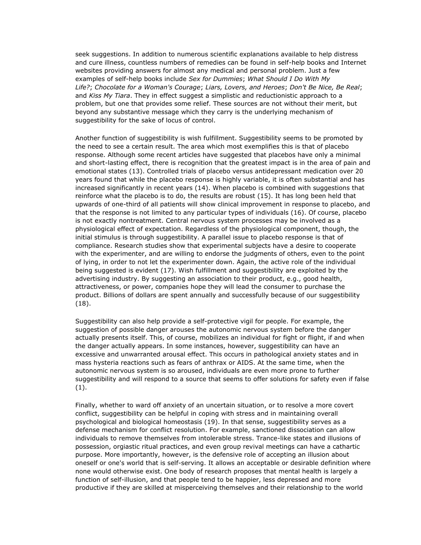seek suggestions. In addition to numerous scientific explanations available to help distress and cure illness, countless numbers of remedies can be found in self-help books and Internet websites providing answers for almost any medical and personal problem. Just a few examples of self-help books include *Sex for Dummies*; *What Should I Do With My Life?*; *Chocolate for a Woman's Courage*; *Liars, Lovers, and Heroes*; *Don't Be Nice, Be Real*; and *Kiss My Tiara*. They in effect suggest a simplistic and reductionistic approach to a problem, but one that provides some relief. These sources are not without their merit, but beyond any substantive message which they carry is the underlying mechanism of suggestibility for the sake of locus of control.

Another function of suggestibility is wish fulfillment. Suggestibility seems to be promoted by the need to see a certain result. The area which most exemplifies this is that of placebo response. Although some recent articles have suggested that placebos have only a minimal and short-lasting effect, there is recognition that the greatest impact is in the area of pain and emotional states (13). Controlled trials of placebo versus antidepressant medication over 20 years found that while the placebo response is highly variable, it is often substantial and has increased significantly in recent years (14). When placebo is combined with suggestions that reinforce what the placebo is to do, the results are robust (15). It has long been held that upwards of one-third of all patients will show clinical improvement in response to placebo, and that the response is not limited to any particular types of individuals (16). Of course, placebo is not exactly nontreatment. Central nervous system processes may be involved as a physiological effect of expectation. Regardless of the physiological component, though, the initial stimulus is through suggestibility. A parallel issue to placebo response is that of compliance. Research studies show that experimental subjects have a desire to cooperate with the experimenter, and are willing to endorse the judgments of others, even to the point of lying, in order to not let the experimenter down. Again, the active role of the individual being suggested is evident (17). Wish fulfillment and suggestibility are exploited by the advertising industry. By suggesting an association to their product, e.g., good health, attractiveness, or power, companies hope they will lead the consumer to purchase the product. Billions of dollars are spent annually and successfully because of our suggestibility (18).

Suggestibility can also help provide a self-protective vigil for people. For example, the suggestion of possible danger arouses the autonomic nervous system before the danger actually presents itself. This, of course, mobilizes an individual for fight or flight, if and when the danger actually appears. In some instances, however, suggestibility can have an excessive and unwarranted arousal effect. This occurs in pathological anxiety states and in mass hysteria reactions such as fears of anthrax or AIDS. At the same time, when the autonomic nervous system is so aroused, individuals are even more prone to further suggestibility and will respond to a source that seems to offer solutions for safety even if false (1).

Finally, whether to ward off anxiety of an uncertain situation, or to resolve a more covert conflict, suggestibility can be helpful in coping with stress and in maintaining overall psychological and biological homeostasis (19). In that sense, suggestibility serves as a defense mechanism for conflict resolution. For example, sanctioned dissociation can allow individuals to remove themselves from intolerable stress. Trance-like states and illusions of possession, orgiastic ritual practices, and even group revival meetings can have a cathartic purpose. More importantly, however, is the defensive role of accepting an illusion about oneself or one's world that is self-serving. It allows an acceptable or desirable definition where none would otherwise exist. One body of research proposes that mental health is largely a function of self-illusion, and that people tend to be happier, less depressed and more productive if they are skilled at misperceiving themselves and their relationship to the world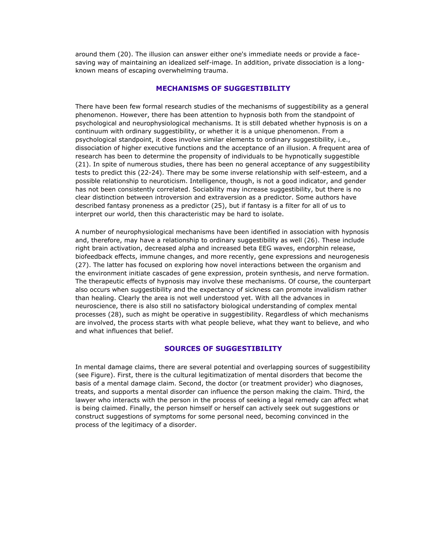around them (20). The illusion can answer either one's immediate needs or provide a facesaving way of maintaining an idealized self-image. In addition, private dissociation is a longknown means of escaping overwhelming trauma.

# **MECHANISMS OF SUGGESTIBILITY**

There have been few formal research studies of the mechanisms of suggestibility as a general phenomenon. However, there has been attention to hypnosis both from the standpoint of psychological and neurophysiological mechanisms. It is still debated whether hypnosis is on a continuum with ordinary suggestibility, or whether it is a unique phenomenon. From a psychological standpoint, it does involve similar elements to ordinary suggestibility, i.e., dissociation of higher executive functions and the acceptance of an illusion. A frequent area of research has been to determine the propensity of individuals to be hypnotically suggestible (21). In spite of numerous studies, there has been no general acceptance of any suggestibility tests to predict this (22-24). There may be some inverse relationship with self-esteem, and a possible relationship to neuroticism. Intelligence, though, is not a good indicator, and gender has not been consistently correlated. Sociability may increase suggestibility, but there is no clear distinction between introversion and extraversion as a predictor. Some authors have described fantasy proneness as a predictor (25), but if fantasy is a filter for all of us to interpret our world, then this characteristic may be hard to isolate.

A number of neurophysiological mechanisms have been identified in association with hypnosis and, therefore, may have a relationship to ordinary suggestibility as well (26). These include right brain activation, decreased alpha and increased beta EEG waves, endorphin release, biofeedback effects, immune changes, and more recently, gene expressions and neurogenesis (27). The latter has focused on exploring how novel interactions between the organism and the environment initiate cascades of gene expression, protein synthesis, and nerve formation. The therapeutic effects of hypnosis may involve these mechanisms. Of course, the counterpart also occurs when suggestibility and the expectancy of sickness can promote invalidism rather than healing. Clearly the area is not well understood yet. With all the advances in neuroscience, there is also still no satisfactory biological understanding of complex mental processes (28), such as might be operative in suggestibility. Regardless of which mechanisms are involved, the process starts with what people believe, what they want to believe, and who and what influences that belief.

# **SOURCES OF SUGGESTIBILITY**

In mental damage claims, there are several potential and overlapping sources of suggestibility (see Figure). First, there is the cultural legitimatization of mental disorders that become the basis of a mental damage claim. Second, the doctor (or treatment provider) who diagnoses, treats, and supports a mental disorder can influence the person making the claim. Third, the lawyer who interacts with the person in the process of seeking a legal remedy can affect what is being claimed. Finally, the person himself or herself can actively seek out suggestions or construct suggestions of symptoms for some personal need, becoming convinced in the process of the legitimacy of a disorder.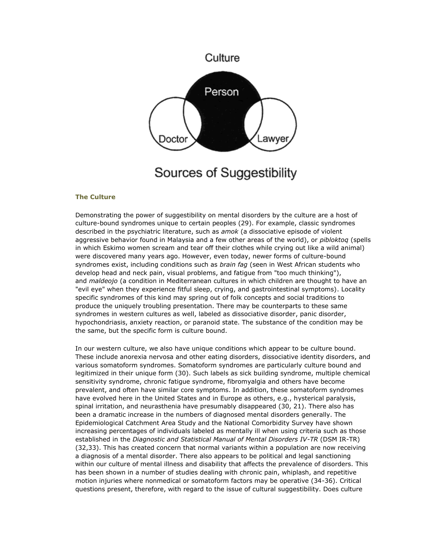

Sources of Suggestibility

### **The Culture**

Demonstrating the power of suggestibility on mental disorders by the culture are a host of culture-bound syndromes unique to certain peoples (29). For example, classic syndromes described in the psychiatric literature, such as *amok* (a dissociative episode of violent aggressive behavior found in Malaysia and a few other areas of the world), or *pibloktoq* (spells in which Eskimo women scream and tear off their clothes while crying out like a wild animal) were discovered many years ago. However, even today, newer forms of culture-bound syndromes exist, including conditions such as *brain fag* (seen in West African students who develop head and neck pain, visual problems, and fatigue from "too much thinking"), and *maldeojo* (a condition in Mediterranean cultures in which children are thought to have an "evil eye" when they experience fitful sleep, crying, and gastrointestinal symptoms). Locality specific syndromes of this kind may spring out of folk concepts and social traditions to produce the uniquely troubling presentation. There may be counterparts to these same syndromes in western cultures as well, labeled as dissociative disorder, panic disorder, hypochondriasis, anxiety reaction, or paranoid state. The substance of the condition may be the same, but the specific form is culture bound.

In our western culture, we also have unique conditions which appear to be culture bound. These include anorexia nervosa and other eating disorders, dissociative identity disorders, and various somatoform syndromes. Somatoform syndromes are particularly culture bound and legitimized in their unique form (30). Such labels as sick building syndrome, multiple chemical sensitivity syndrome, chronic fatigue syndrome, fibromyalgia and others have become prevalent, and often have similar core symptoms. In addition, these somatoform syndromes have evolved here in the United States and in Europe as others, e.g., hysterical paralysis, spinal irritation, and neurasthenia have presumably disappeared (30, 21). There also has been a dramatic increase in the numbers of diagnosed mental disorders generally. The Epidemiological Catchment Area Study and the National Comorbidity Survey have shown increasing percentages of individuals labeled as mentally ill when using criteria such as those established in the *Diagnostic and Statistical Manual of Mental Disorders IV-TR* (DSM IR-TR) (32,33). This has created concern that normal variants within a population are now receiving a diagnosis of a mental disorder. There also appears to be political and legal sanctioning within our culture of mental illness and disability that affects the prevalence of disorders. This has been shown in a number of studies dealing with chronic pain, whiplash, and repetitive motion injuries where nonmedical or somatoform factors may be operative (34-36). Critical questions present, therefore, with regard to the issue of cultural suggestibility. Does culture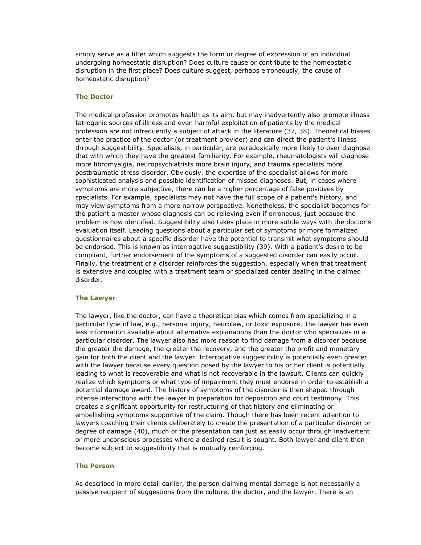simply serve as a filter which suggests the form or degree of expression of an individual undergoing homeostatic disruption? Does culture cause or contribute to the homeostatic disruption in the first place? Does culture suggest, perhaps erroneously, the cause of homeostatic disruption?

#### **The Doctor**

The medical profession promotes health as its aim, but may inadvertently also promote illness Iatrogenic sources of illness and even harmful exploitation of patients by the medical profession are not infrequently a subject of attack in the literature (37, 38). Theoretical biases enter the practice of the doctor (or treatment provider) and can direct the patient's illness through suggestibility. Specialists, in particular, are paradoxically more likely to over diagnose that with which they have the greatest familiarity. For example, rheumatologists will diagnose more fibromyalgia, neuropsychiatrists more brain injury, and trauma specialists more posttraumatic stress disorder. Obviously, the expertise of the specialist allows for more sophisticated analysis and possible identification of missed diagnoses. But, in cases where symptoms are more subjective, there can be a higher percentage of false positives by specialists. For example, specialists may not have the full scope of a patient's history, and may view symptoms from a more narrow perspective. Nonetheless, the specialist becomes for the patient a master whose diagnosis can be relieving even if erroneous, just because the problem is now identified. Suggestibility also takes place in more subtle ways with the doctor's evaluation itself. Leading questions about a particular set of symptoms or more formalized questionnaires about a specific disorder have the potential to transmit what symptoms should be endorsed. This is known as interrogative suggestibility (39). With a patient's desire to be compliant, further endorsement of the symptoms of a suggested disorder can easily occur. Finally, the treatment of a disorder reinforces the suggestion, especially when that treatment is extensive and coupled with a treatment team or specialized center dealing in the claimed disorder.

#### **The Lawyer**

The lawyer, like the doctor, can have a theoretical bias which comes from specializing in a particular type of law, e.g., personal injury, neurolaw, or toxic exposure. The lawyer has even less information available about alternative explanations than the doctor who specializes in a particular disorder. The lawyer also has more reason to find damage from a disorder because the greater the damage, the greater the recovery, and the greater the profit and monetary gain for both the client and the lawyer. Interrogative suggestibility is potentially even greater with the lawyer because every question posed by the lawyer to his or her client is potentially leading to what is recoverable and what is not recoverable in the lawsuit. Clients can quickly realize which symptoms or what type of impairment they must endorse in order to establish a potential damage award. The history of symptoms of the disorder is then shaped through intense interactions with the lawyer in preparation for deposition and court testimony. This creates a significant opportunity for restructuring of that history and eliminating or embellishing symptoms supportive of the claim. Though there has been recent attention to lawyers coaching their clients deliberately to create the presentation of a particular disorder or degree of damage (40), much of the presentation can just as easily occur through inadvertent or more unconscious processes where a desired result is sought. Both lawyer and client then become subject to suggestibility that is mutually reinforcing.

### **The Person**

As described in more detail earlier, the person claiming mental damage is not necessarily a passive recipient of suggestions from the culture, the doctor, and the lawyer. There is an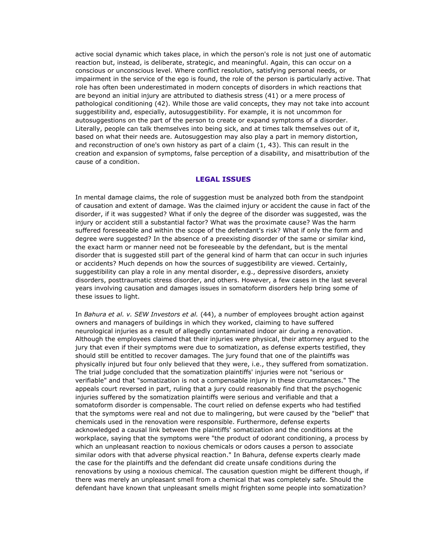active social dynamic which takes place, in which the person's role is not just one of automatic reaction but, instead, is deliberate, strategic, and meaningful. Again, this can occur on a conscious or unconscious level. Where conflict resolution, satisfying personal needs, or impairment in the service of the ego is found, the role of the person is particularly active. That role has often been underestimated in modern concepts of disorders in which reactions that are beyond an initial injury are attributed to diathesis stress (41) or a mere process of pathological conditioning (42). While those are valid concepts, they may not take into account suggestibility and, especially, autosuggestibility. For example, it is not uncommon for autosuggestions on the part of the person to create or expand symptoms of a disorder. Literally, people can talk themselves into being sick, and at times talk themselves out of it, based on what their needs are. Autosuggestion may also play a part in memory distortion, and reconstruction of one's own history as part of a claim (1, 43). This can result in the creation and expansion of symptoms, false perception of a disability, and misattribution of the cause of a condition.

### **LEGAL ISSUES**

In mental damage claims, the role of suggestion must be analyzed both from the standpoint of causation and extent of damage. Was the claimed injury or accident the cause in fact of the disorder, if it was suggested? What if only the degree of the disorder was suggested, was the injury or accident still a substantial factor? What was the proximate cause? Was the harm suffered foreseeable and within the scope of the defendant's risk? What if only the form and degree were suggested? In the absence of a preexisting disorder of the same or similar kind, the exact harm or manner need not be foreseeable by the defendant, but is the mental disorder that is suggested still part of the general kind of harm that can occur in such injuries or accidents? Much depends on how the sources of suggestibility are viewed. Certainly, suggestibility can play a role in any mental disorder, e.g., depressive disorders, anxiety disorders, posttraumatic stress disorder, and others. However, a few cases in the last several years involving causation and damages issues in somatoform disorders help bring some of these issues to light.

In *Bahura et al. v. SEW Investors et al.* (44), a number of employees brought action against owners and managers of buildings in which they worked, claiming to have suffered neurological injuries as a result of allegedly contaminated indoor air during a renovation. Although the employees claimed that their injuries were physical, their attorney argued to the jury that even if their symptoms were due to somatization, as defense experts testified, they should still be entitled to recover damages. The jury found that one of the plaintiffs was physically injured but four only believed that they were, i.e., they suffered from somatization. The trial judge concluded that the somatization plaintiffs' injuries were not "serious or verifiable" and that "somatization is not a compensable injury in these circumstances." The appeals court reversed in part, ruling that a jury could reasonably find that the psychogenic injuries suffered by the somatization plaintiffs were serious and verifiable and that a somatoform disorder is compensable. The court relied on defense experts who had testified that the symptoms were real and not due to malingering, but were caused by the "belief" that chemicals used in the renovation were responsible. Furthermore, defense experts acknowledged a causal link between the plaintiffs' somatization and the conditions at the workplace, saying that the symptoms were "the product of odorant conditioning, a process by which an unpleasant reaction to noxious chemicals or odors causes a person to associate similar odors with that adverse physical reaction." In Bahura, defense experts clearly made the case for the plaintiffs and the defendant did create unsafe conditions during the renovations by using a noxious chemical. The causation question might be different though, if there was merely an unpleasant smell from a chemical that was completely safe. Should the defendant have known that unpleasant smells might frighten some people into somatization?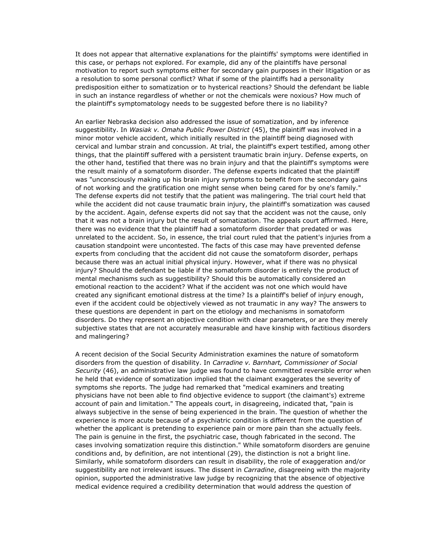It does not appear that alternative explanations for the plaintiffs' symptoms were identified in this case, or perhaps not explored. For example, did any of the plaintiffs have personal motivation to report such symptoms either for secondary gain purposes in their litigation or as a resolution to some personal conflict? What if some of the plaintiffs had a personality predisposition either to somatization or to hysterical reactions? Should the defendant be liable in such an instance regardless of whether or not the chemicals were noxious? How much of the plaintiff's symptomatology needs to be suggested before there is no liability?

An earlier Nebraska decision also addressed the issue of somatization, and by inference suggestibility. In *Wasiak v. Omaha Public Power District* (45), the plaintiff was involved in a minor motor vehicle accident, which initially resulted in the plaintiff being diagnosed with cervical and lumbar strain and concussion. At trial, the plaintiff's expert testified, among other things, that the plaintiff suffered with a persistent traumatic brain injury. Defense experts, on the other hand, testified that there was no brain injury and that the plaintiff's symptoms were the result mainly of a somatoform disorder. The defense experts indicated that the plaintiff was "unconsciously making up his brain injury symptoms to benefit from the secondary gains of not working and the gratification one might sense when being cared for by one's family." The defense experts did not testify that the patient was malingering. The trial court held that while the accident did not cause traumatic brain injury, the plaintiff's somatization was caused by the accident. Again, defense experts did not say that the accident was not the cause, only that it was not a brain injury but the result of somatization. The appeals court affirmed. Here, there was no evidence that the plaintiff had a somatoform disorder that predated or was unrelated to the accident. So, in essence, the trial court ruled that the patient's injuries from a causation standpoint were uncontested. The facts of this case may have prevented defense experts from concluding that the accident did not cause the somatoform disorder, perhaps because there was an actual initial physical injury. However, what if there was no physical injury? Should the defendant be liable if the somatoform disorder is entirely the product of mental mechanisms such as suggestibility? Should this be automatically considered an emotional reaction to the accident? What if the accident was not one which would have created any significant emotional distress at the time? Is a plaintiff's belief of injury enough, even if the accident could be objectively viewed as not traumatic in any way? The answers to these questions are dependent in part on the etiology and mechanisms in somatoform disorders. Do they represent an objective condition with clear parameters, or are they merely subjective states that are not accurately measurable and have kinship with factitious disorders and malingering?

A recent decision of the Social Security Administration examines the nature of somatoform disorders from the question of disability. In *Carradine v. Barnhart, Commissioner of Social Security* (46), an administrative law judge was found to have committed reversible error when he held that evidence of somatization implied that the claimant exaggerates the severity of symptoms she reports. The judge had remarked that "medical examiners and treating physicians have not been able to find objective evidence to support (the claimant's) extreme account of pain and limitation." The appeals court, in disagreeing, indicated that, "pain is always subjective in the sense of being experienced in the brain. The question of whether the experience is more acute because of a psychiatric condition is different from the question of whether the applicant is pretending to experience pain or more pain than she actually feels. The pain is genuine in the first, the psychiatric case, though fabricated in the second. The cases involving somatization require this distinction." While somatoform disorders are genuine conditions and, by definition, are not intentional (29), the distinction is not a bright line. Similarly, while somatoform disorders can result in disability, the role of exaggeration and/or suggestibility are not irrelevant issues. The dissent in *Carradine*, disagreeing with the majority opinion, supported the administrative law judge by recognizing that the absence of objective medical evidence required a credibility determination that would address the question of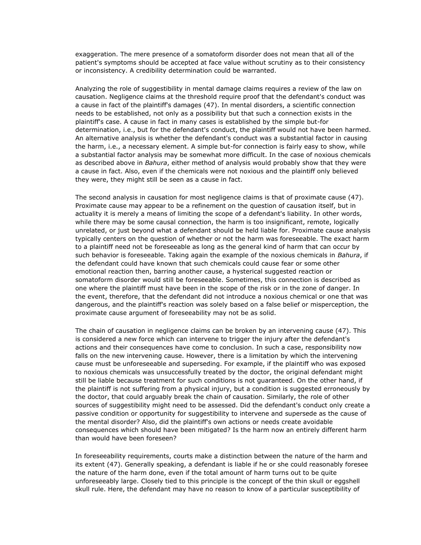exaggeration. The mere presence of a somatoform disorder does not mean that all of the patient's symptoms should be accepted at face value without scrutiny as to their consistency or inconsistency. A credibility determination could be warranted.

Analyzing the role of suggestibility in mental damage claims requires a review of the law on causation. Negligence claims at the threshold require proof that the defendant's conduct was a cause in fact of the plaintiff's damages (47). In mental disorders, a scientific connection needs to be established, not only as a possibility but that such a connection exists in the plaintiff's case. A cause in fact in many cases is established by the simple but-for determination, i.e., but for the defendant's conduct, the plaintiff would not have been harmed. An alternative analysis is whether the defendant's conduct was a substantial factor in causing the harm, i.e., a necessary element. A simple but-for connection is fairly easy to show, while a substantial factor analysis may be somewhat more difficult. In the case of noxious chemicals as described above in *Bahura*, either method of analysis would probably show that they were a cause in fact. Also, even if the chemicals were not noxious and the plaintiff only believed they were, they might still be seen as a cause in fact.

The second analysis in causation for most negligence claims is that of proximate cause (47). Proximate cause may appear to be a refinement on the question of causation itself, but in actuality it is merely a means of limiting the scope of a defendant's liability. In other words, while there may be some causal connection, the harm is too insignificant, remote, logically unrelated, or just beyond what a defendant should be held liable for. Proximate cause analysis typically centers on the question of whether or not the harm was foreseeable. The exact harm to a plaintiff need not be foreseeable as long as the general kind of harm that can occur by such behavior is foreseeable. Taking again the example of the noxious chemicals in *Bahura*, if the defendant could have known that such chemicals could cause fear or some other emotional reaction then, barring another cause, a hysterical suggested reaction or somatoform disorder would still be foreseeable. Sometimes, this connection is described as one where the plaintiff must have been in the scope of the risk or in the zone of danger. In the event, therefore, that the defendant did not introduce a noxious chemical or one that was dangerous, and the plaintiff's reaction was solely based on a false belief or misperception, the proximate cause argument of foreseeability may not be as solid.

The chain of causation in negligence claims can be broken by an intervening cause (47). This is considered a new force which can intervene to trigger the injury after the defendant's actions and their consequences have come to conclusion. In such a case, responsibility now falls on the new intervening cause. However, there is a limitation by which the intervening cause must be unforeseeable and superseding. For example, if the plaintiff who was exposed to noxious chemicals was unsuccessfully treated by the doctor, the original defendant might still be liable because treatment for such conditions is not guaranteed. On the other hand, if the plaintiff is not suffering from a physical injury, but a condition is suggested erroneously by the doctor, that could arguably break the chain of causation. Similarly, the role of other sources of suggestibility might need to be assessed. Did the defendant's conduct only create a passive condition or opportunity for suggestibility to intervene and supersede as the cause of the mental disorder? Also, did the plaintiff's own actions or needs create avoidable consequences which should have been mitigated? Is the harm now an entirely different harm than would have been foreseen?

In foreseeability requirements, courts make a distinction between the nature of the harm and its extent (47). Generally speaking, a defendant is liable if he or she could reasonably foresee the nature of the harm done, even if the total amount of harm turns out to be quite unforeseeably large. Closely tied to this principle is the concept of the thin skull or eggshell skull rule. Here, the defendant may have no reason to know of a particular susceptibility of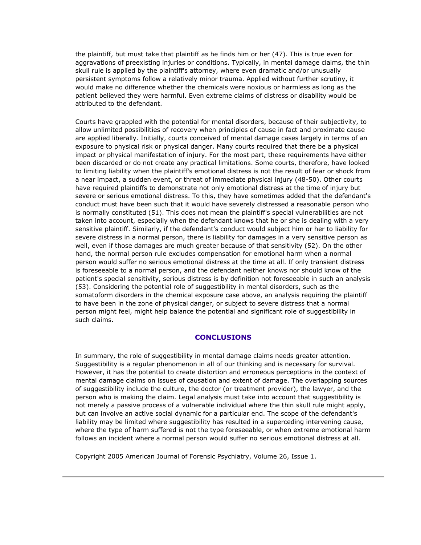the plaintiff, but must take that plaintiff as he finds him or her (47). This is true even for aggravations of preexisting injuries or conditions. Typically, in mental damage claims, the thin skull rule is applied by the plaintiff's attorney, where even dramatic and/or unusually persistent symptoms follow a relatively minor trauma. Applied without further scrutiny, it would make no difference whether the chemicals were noxious or harmless as long as the patient believed they were harmful. Even extreme claims of distress or disability would be attributed to the defendant.

Courts have grappled with the potential for mental disorders, because of their subjectivity, to allow unlimited possibilities of recovery when principles of cause in fact and proximate cause are applied liberally. Initially, courts conceived of mental damage cases largely in terms of an exposure to physical risk or physical danger. Many courts required that there be a physical impact or physical manifestation of injury. For the most part, these requirements have either been discarded or do not create any practical limitations. Some courts, therefore, have looked to limiting liability when the plaintiff's emotional distress is not the result of fear or shock from a near impact, a sudden event, or threat of immediate physical injury (48-50). Other courts have required plaintiffs to demonstrate not only emotional distress at the time of injury but severe or serious emotional distress. To this, they have sometimes added that the defendant's conduct must have been such that it would have severely distressed a reasonable person who is normally constituted (51). This does not mean the plaintiff's special vulnerabilities are not taken into account, especially when the defendant knows that he or she is dealing with a very sensitive plaintiff. Similarly, if the defendant's conduct would subject him or her to liability for severe distress in a normal person, there is liability for damages in a very sensitive person as well, even if those damages are much greater because of that sensitivity (52). On the other hand, the normal person rule excludes compensation for emotional harm when a normal person would suffer no serious emotional distress at the time at all. If only transient distress is foreseeable to a normal person, and the defendant neither knows nor should know of the patient's special sensitivity, serious distress is by definition not foreseeable in such an analysis (53). Considering the potential role of suggestibility in mental disorders, such as the somatoform disorders in the chemical exposure case above, an analysis requiring the plaintiff to have been in the zone of physical danger, or subject to severe distress that a normal person might feel, might help balance the potential and significant role of suggestibility in such claims.

### **CONCLUSIONS**

In summary, the role of suggestibility in mental damage claims needs greater attention. Suggestibility is a regular phenomenon in all of our thinking and is necessary for survival. However, it has the potential to create distortion and erroneous perceptions in the context of mental damage claims on issues of causation and extent of damage. The overlapping sources of suggestibility include the culture, the doctor (or treatment provider), the lawyer, and the person who is making the claim. Legal analysis must take into account that suggestibility is not merely a passive process of a vulnerable individual where the thin skull rule might apply, but can involve an active social dynamic for a particular end. The scope of the defendant's liability may be limited where suggestibility has resulted in a superceding intervening cause, where the type of harm suffered is not the type foreseeable, or when extreme emotional harm follows an incident where a normal person would suffer no serious emotional distress at all.

Copyright 2005 American Journal of Forensic Psychiatry, Volume 26, Issue 1.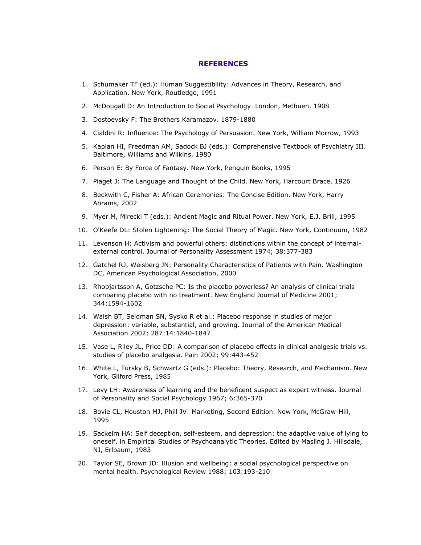#### **REFERENCES**

- 1. Schumaker TF (ed.): Human Suggestibility: Advances in Theory, Research, and Application. New York, Routledge, 1991
- 2. McDougall D: An Introduction to Social Psychology. London, Methuen, 1908
- 3. Dostoevsky F: The Brothers Karamazov. 1879-1880
- 4. Cialdini R: Influence: The Psychology of Persuasion. New York, William Morrow, 1993
- 5. Kaplan HI, Freedman AM, Sadock BJ (eds.): Comprehensive Textbook of Psychiatry III. Baltimore, Williams and Wilkins, 1980
- 6. Person E: By Force of Fantasy. New York, Penguin Books, 1995
- 7. Piaget J: The Language and Thought of the Child. New York, Harcourt Brace, 1926
- 8. Beckwith C, Fisher A: African Ceremonies: The Concise Edition. New York, Harry Abrams, 2002
- 9. Myer M, Mirecki T (eds.): Ancient Magic and Ritual Power. New York, E.J. Brill, 1995
- 10. O'Keefe DL: Stolen Lightening: The Social Theory of Magic. New York, Continuum, 1982
- 11. Levenson H: Activism and powerful others: distinctions within the concept of internalexternal control. Journal of Personality Assessment 1974; 38:377-383
- 12. Gatchel RJ, Weisberg JN: Personality Characteristics of Patients with Pain. Washington DC, American Psychological Association, 2000
- 13. Rhobjartsson A, Gotzsche PC: Is the placebo powerless? An analysis of clinical trials comparing placebo with no treatment. New England Journal of Medicine 2001; 344:1594-1602
- 14. Walsh BT, Seidman SN, Sysko R et al.: Placebo response in studies of major depression: variable, substantial, and growing. Journal of the American Medical Association 2002; 287:14:1840-1847
- 15. Vase L, Riley JL, Price DD: A comparison of placebo effects in clinical analgesic trials vs. studies of placebo analgesia. Pain 2002; 99:443-452
- 16. White L, Tursky B, Schwartz G (eds.): Placebo: Theory, Research, and Mechanism. New York, Gilford Press, 1985
- 17. Levy LH: Awareness of learning and the beneficent suspect as expert witness. Journal of Personality and Social Psychology 1967; 6:365-370
- 18. Bovie CL, Houston MJ, Phill JV: Marketing, Second Edition. New York, McGraw-Hill, 1995
- 19. Sackeim HA: Self deception, self-esteem, and depression: the adaptive value of lying to oneself, in Empirical Studies of Psychoanalytic Theories. Edited by Masling J. Hillsdale, NJ, Erlbaum, 1983
- 20. Taylor SE, Brown JD: Illusion and wellbeing: a social psychological perspective on mental health. Psychological Review 1988; 103:193-210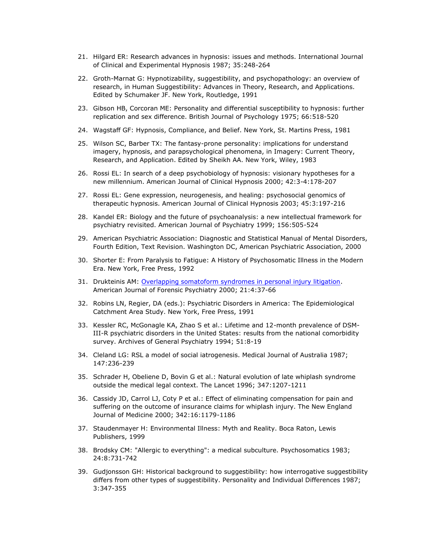- 21. Hilgard ER: Research advances in hypnosis: issues and methods. International Journal of Clinical and Experimental Hypnosis 1987; 35:248-264
- 22. Groth-Marnat G: Hypnotizability, suggestibility, and psychopathology: an overview of research, in Human Suggestibility: Advances in Theory, Research, and Applications. Edited by Schumaker JF. New York, Routledge, 1991
- 23. Gibson HB, Corcoran ME: Personality and differential susceptibility to hypnosis: further replication and sex difference. British Journal of Psychology 1975; 66:518-520
- 24. Wagstaff GF: Hypnosis, Compliance, and Belief. New York, St. Martins Press, 1981
- 25. Wilson SC, Barber TX: The fantasy-prone personality: implications for understand imagery, hypnosis, and parapsychological phenomena, in Imagery: Current Theory, Research, and Application. Edited by Sheikh AA. New York, Wiley, 1983
- 26. Rossi EL: In search of a deep psychobiology of hypnosis: visionary hypotheses for a new millennium. American Journal of Clinical Hypnosis 2000; 42:3-4:178-207
- 27. Rossi EL: Gene expression, neurogenesis, and healing: psychosocial genomics of therapeutic hypnosis. American Journal of Clinical Hypnosis 2003; 45:3:197-216
- 28. Kandel ER: Biology and the future of psychoanalysis: a new intellectual framework for psychiatry revisited. American Journal of Psychiatry 1999; 156:505-524
- 29. American Psychiatric Association: Diagnostic and Statistical Manual of Mental Disorders, Fourth Edition, Text Revision. Washington DC, American Psychiatric Association, 2000
- 30. Shorter E: From Paralysis to Fatigue: A History of Psychosomatic Illness in the Modern Era. New York, Free Press, 1992
- 31. Drukteinis AM: [Overlapping somatoform syndromes in personal injury litigation.](http://www.psychlaw.com/LibraryFiles/SomatoformSyndromes.html) American Journal of Forensic Psychiatry 2000; 21:4:37-66
- 32. Robins LN, Regier, DA (eds.): Psychiatric Disorders in America: The Epidemiological Catchment Area Study. New York, Free Press, 1991
- 33. Kessler RC, McGonagle KA, Zhao S et al.: Lifetime and 12-month prevalence of DSM-III-R psychiatric disorders in the United States: results from the national comorbidity survey. Archives of General Psychiatry 1994; 51:8-19
- 34. Cleland LG: RSL a model of social iatrogenesis. Medical Journal of Australia 1987; 147:236-239
- 35. Schrader H, Obeliene D, Bovin G et al.: Natural evolution of late whiplash syndrome outside the medical legal context. The Lancet 1996; 347:1207-1211
- 36. Cassidy JD, Carrol LJ, Coty P et al.: Effect of eliminating compensation for pain and suffering on the outcome of insurance claims for whiplash injury. The New England Journal of Medicine 2000; 342:16:1179-1186
- 37. Staudenmayer H: Environmental Illness: Myth and Reality. Boca Raton, Lewis Publishers, 1999
- 38. Brodsky CM: "Allergic to everything": a medical subculture. Psychosomatics 1983; 24:8:731-742
- 39. Gudjonsson GH: Historical background to suggestibility: how interrogative suggestibility differs from other types of suggestibility. Personality and Individual Differences 1987; 3:347-355